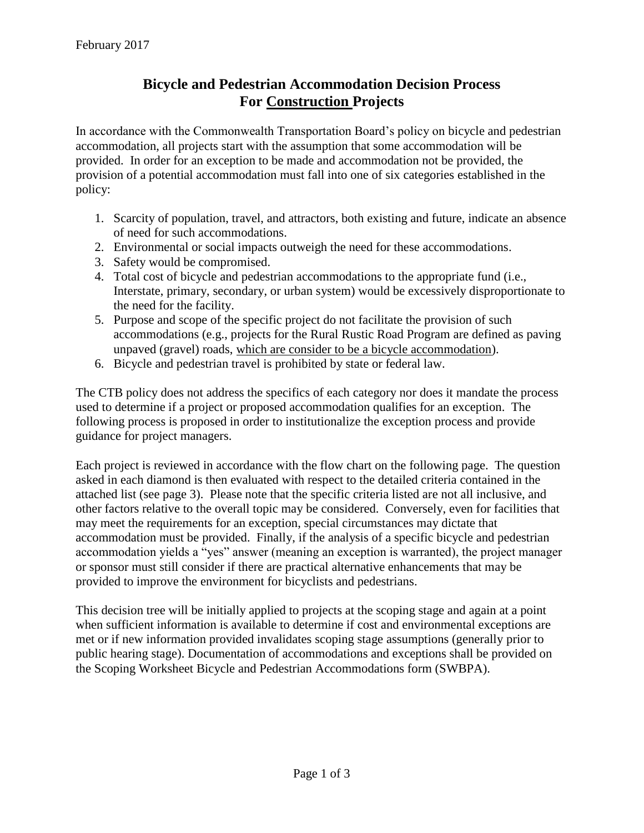## **Bicycle and Pedestrian Accommodation Decision Process For Construction Projects**

In accordance with the Commonwealth Transportation Board's policy on bicycle and pedestrian accommodation, all projects start with the assumption that some accommodation will be provided. In order for an exception to be made and accommodation not be provided, the provision of a potential accommodation must fall into one of six categories established in the policy:

- 1. Scarcity of population, travel, and attractors, both existing and future, indicate an absence of need for such accommodations.
- 2. Environmental or social impacts outweigh the need for these accommodations.
- 3. Safety would be compromised.
- 4. Total cost of bicycle and pedestrian accommodations to the appropriate fund (i.e., Interstate, primary, secondary, or urban system) would be excessively disproportionate to the need for the facility.
- 5. Purpose and scope of the specific project do not facilitate the provision of such accommodations (e.g., projects for the Rural Rustic Road Program are defined as paving unpaved (gravel) roads, which are consider to be a bicycle accommodation).
- 6. Bicycle and pedestrian travel is prohibited by state or federal law.

The CTB policy does not address the specifics of each category nor does it mandate the process used to determine if a project or proposed accommodation qualifies for an exception. The following process is proposed in order to institutionalize the exception process and provide guidance for project managers.

Each project is reviewed in accordance with the flow chart on the following page. The question asked in each diamond is then evaluated with respect to the detailed criteria contained in the attached list (see page 3). Please note that the specific criteria listed are not all inclusive, and other factors relative to the overall topic may be considered. Conversely, even for facilities that may meet the requirements for an exception, special circumstances may dictate that accommodation must be provided. Finally, if the analysis of a specific bicycle and pedestrian accommodation yields a "yes" answer (meaning an exception is warranted), the project manager or sponsor must still consider if there are practical alternative enhancements that may be provided to improve the environment for bicyclists and pedestrians.

This decision tree will be initially applied to projects at the scoping stage and again at a point when sufficient information is available to determine if cost and environmental exceptions are met or if new information provided invalidates scoping stage assumptions (generally prior to public hearing stage). Documentation of accommodations and exceptions shall be provided on the Scoping Worksheet Bicycle and Pedestrian Accommodations form (SWBPA).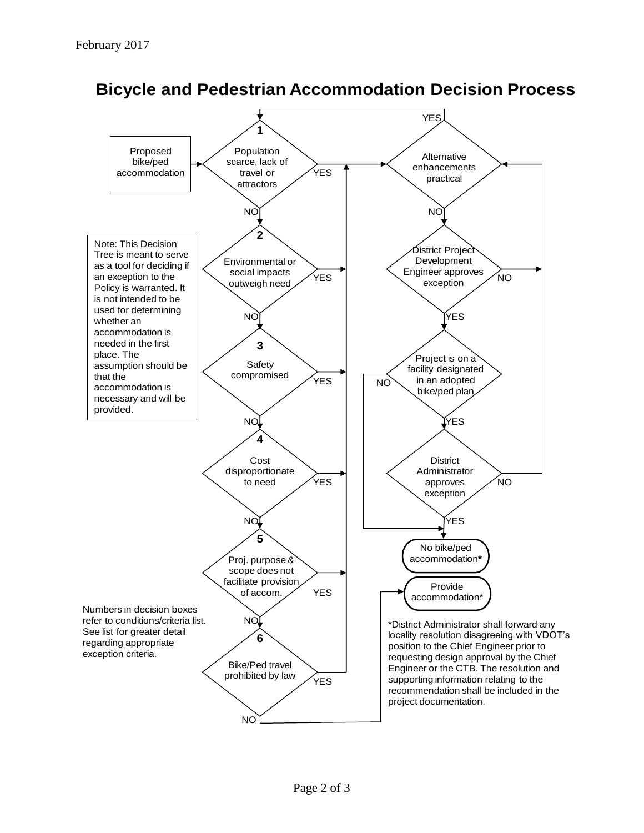

**Bicycle and Pedestrian Accommodation Decision Process**